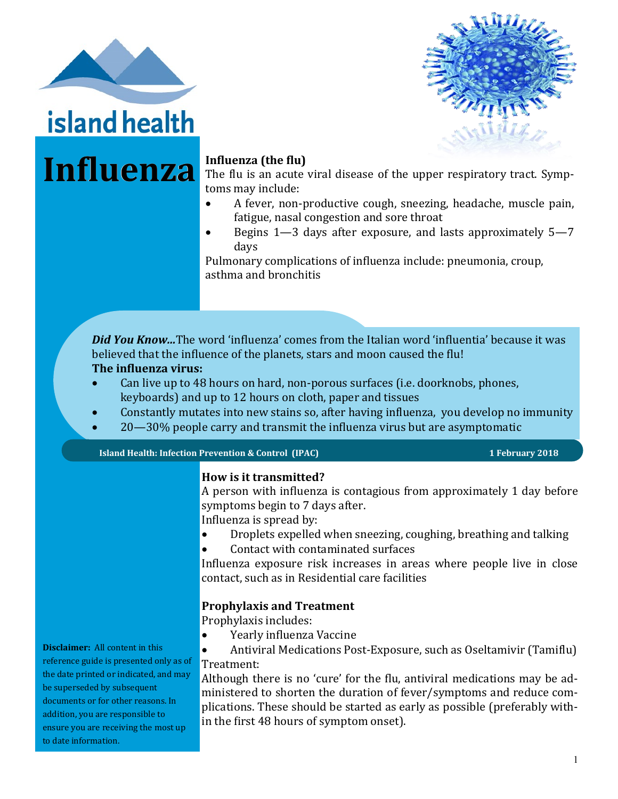



# Influenza Influenza (the flu)

The flu is an acute viral disease of the upper respiratory tract. Symptoms may include:

- A fever, non-productive cough, sneezing, headache, muscle pain, fatigue, nasal congestion and sore throat
- Begins 1—3 days after exposure, and lasts approximately 5—7 days

Pulmonary complications of influenza include: pneumonia, croup, asthma and bronchitis

*Did You Know...*The word 'influenza' comes from the Italian word 'influentia' because it was believed that the influence of the planets, stars and moon caused the flu! **The influenza virus:** 

- Can live up to 48 hours on hard, non-porous surfaces (i.e. doorknobs, phones, keyboards) and up to 12 hours on cloth, paper and tissues
- Constantly mutates into new stains so, after having influenza, you develop no immunity
- 20—30% people carry and transmit the influenza virus but are asymptomatic

**Island Health: Infection Prevention & Control (IPAC)** 1 **1 1** February 2018

### **How is it transmitted?**

A person with influenza is contagious from approximately 1 day before symptoms begin to 7 days after.

Influenza is spread by:

- Droplets expelled when sneezing, coughing, breathing and talking
- Contact with contaminated surfaces

Influenza exposure risk increases in areas where people live in close contact, such as in Residential care facilities

#### **Prophylaxis and Treatment**

Prophylaxis includes:

- Yearly influenza Vaccine
- Antiviral Medications Post-Exposure, such as Oseltamivir (Tamiflu) Treatment:

Although there is no 'cure' for the flu, antiviral medications may be administered to shorten the duration of fever/symptoms and reduce complications. These should be started as early as possible (preferably within the first 48 hours of symptom onset).

**Disclaimer:** All content in this reference guide is presented only as of the date printed or indicated, and may be superseded by subsequent documents or for other reasons. In addition, you are responsible to ensure you are receiving the most up to date information.